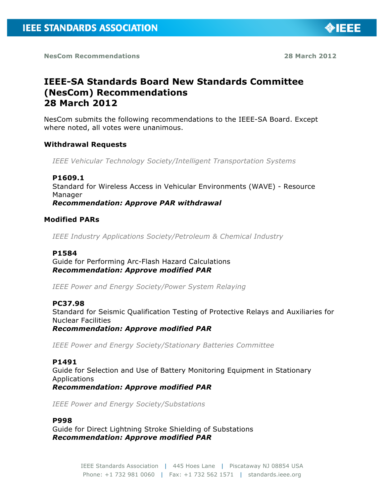

◈IEEE

# **IEEE-SA Standards Board New Standards Committee (NesCom) Recommendations 28 March 2012**

NesCom submits the following recommendations to the IEEE-SA Board. Except where noted, all votes were unanimous.

# **Withdrawal Requests**

*IEEE Vehicular Technology Society/Intelligent Transportation Systems*

#### **P1609.1**

Standard for Wireless Access in Vehicular Environments (WAVE) - Resource Manager

*Recommendation: Approve PAR withdrawal*

# **Modified PARs**

*IEEE Industry Applications Society/Petroleum & Chemical Industry*

#### **P1584**

Guide for Performing Arc-Flash Hazard Calculations *Recommendation: Approve modified PAR*

*IEEE Power and Energy Society/Power System Relaying*

#### **PC37.98**

Standard for Seismic Qualification Testing of Protective Relays and Auxiliaries for Nuclear Facilities

*Recommendation: Approve modified PAR*

*IEEE Power and Energy Society/Stationary Batteries Committee*

#### **P1491**

Guide for Selection and Use of Battery Monitoring Equipment in Stationary Applications *Recommendation: Approve modified PAR*

*IEEE Power and Energy Society/Substations*

#### **P998**

Guide for Direct Lightning Stroke Shielding of Substations *Recommendation: Approve modified PAR*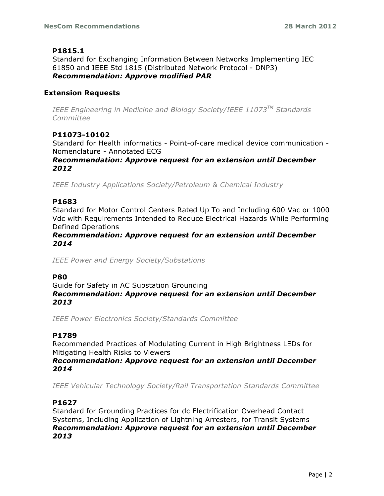# **P1815.1**

Standard for Exchanging Information Between Networks Implementing IEC 61850 and IEEE Std 1815 (Distributed Network Protocol - DNP3) *Recommendation: Approve modified PAR*

# **Extension Requests**

*IEEE Engineering in Medicine and Biology Society/IEEE 11073TM Standards Committee*

# **P11073-10102**

Standard for Health informatics - Point-of-care medical device communication - Nomenclature - Annotated ECG

*Recommendation: Approve request for an extension until December 2012*

*IEEE Industry Applications Society/Petroleum & Chemical Industry*

# **P1683**

Standard for Motor Control Centers Rated Up To and Including 600 Vac or 1000 Vdc with Requirements Intended to Reduce Electrical Hazards While Performing Defined Operations

#### *Recommendation: Approve request for an extension until December 2014*

*IEEE Power and Energy Society/Substations*

# **P80**

Guide for Safety in AC Substation Grounding *Recommendation: Approve request for an extension until December 2013*

*IEEE Power Electronics Society/Standards Committee*

# **P1789**

Recommended Practices of Modulating Current in High Brightness LEDs for Mitigating Health Risks to Viewers

#### *Recommendation: Approve request for an extension until December 2014*

*IEEE Vehicular Technology Society/Rail Transportation Standards Committee*

# **P1627**

Standard for Grounding Practices for dc Electrification Overhead Contact Systems, Including Application of Lightning Arresters, for Transit Systems *Recommendation: Approve request for an extension until December 2013*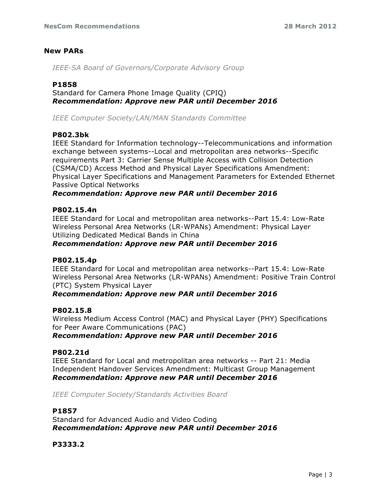# **New PARs**

*IEEE-SA Board of Governors/Corporate Advisory Group*

# **P1858**

Standard for Camera Phone Image Quality (CPIQ) *Recommendation: Approve new PAR until December 2016*

*IEEE Computer Society/LAN/MAN Standards Committee*

# **P802.3bk**

IEEE Standard for Information technology--Telecommunications and information exchange between systems--Local and metropolitan area networks--Specific requirements Part 3: Carrier Sense Multiple Access with Collision Detection (CSMA/CD) Access Method and Physical Layer Specifications Amendment: Physical Layer Specifications and Management Parameters for Extended Ethernet Passive Optical Networks

# *Recommendation: Approve new PAR until December 2016*

#### **P802.15.4n**

IEEE Standard for Local and metropolitan area networks--Part 15.4: Low-Rate Wireless Personal Area Networks (LR-WPANs) Amendment: Physical Layer Utilizing Dedicated Medical Bands in China

# *Recommendation: Approve new PAR until December 2016*

# **P802.15.4p**

IEEE Standard for Local and metropolitan area networks--Part 15.4: Low-Rate Wireless Personal Area Networks (LR-WPANs) Amendment: Positive Train Control (PTC) System Physical Layer

# *Recommendation: Approve new PAR until December 2016*

#### **P802.15.8**

Wireless Medium Access Control (MAC) and Physical Layer (PHY) Specifications for Peer Aware Communications (PAC)

# *Recommendation: Approve new PAR until December 2016*

# **P802.21d**

IEEE Standard for Local and metropolitan area networks -- Part 21: Media Independent Handover Services Amendment: Multicast Group Management *Recommendation: Approve new PAR until December 2016*

*IEEE Computer Society/Standards Activities Board*

#### **P1857**

Standard for Advanced Audio and Video Coding *Recommendation: Approve new PAR until December 2016*

# **P3333.2**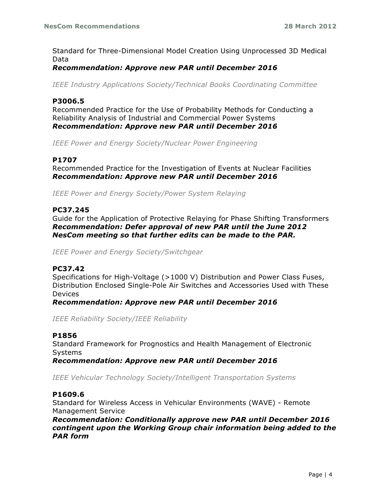Standard for Three-Dimensional Model Creation Using Unprocessed 3D Medical Data

# *Recommendation: Approve new PAR until December 2016*

*IEEE Industry Applications Society/Technical Books Coordinating Committee*

#### **P3006.5**

Recommended Practice for the Use of Probability Methods for Conducting a Reliability Analysis of Industrial and Commercial Power Systems *Recommendation: Approve new PAR until December 2016*

*IEEE Power and Energy Society/Nuclear Power Engineering*

# **P1707**

Recommended Practice for the Investigation of Events at Nuclear Facilities *Recommendation: Approve new PAR until December 2016*

*IEEE Power and Energy Society/Power System Relaying*

#### **PC37.245**

Guide for the Application of Protective Relaying for Phase Shifting Transformers *Recommendation: Defer approval of new PAR until the June 2012 NesCom meeting so that further edits can be made to the PAR.*

*IEEE Power and Energy Society/Switchgear*

#### **PC37.42**

Specifications for High-Voltage (>1000 V) Distribution and Power Class Fuses, Distribution Enclosed Single-Pole Air Switches and Accessories Used with These Devices

*Recommendation: Approve new PAR until December 2016*

*IEEE Reliability Society/IEEE Reliability*

#### **P1856**

Standard Framework for Prognostics and Health Management of Electronic Systems

*Recommendation: Approve new PAR until December 2016*

*IEEE Vehicular Technology Society/Intelligent Transportation Systems*

#### **P1609.6**

Standard for Wireless Access in Vehicular Environments (WAVE) - Remote Management Service

*Recommendation: Conditionally approve new PAR until December 2016 contingent upon the Working Group chair information being added to the PAR form*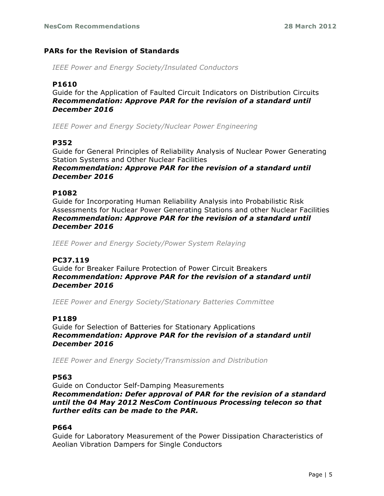# **PARs for the Revision of Standards**

*IEEE Power and Energy Society/Insulated Conductors*

# **P1610**

Guide for the Application of Faulted Circuit Indicators on Distribution Circuits *Recommendation: Approve PAR for the revision of a standard until December 2016*

*IEEE Power and Energy Society/Nuclear Power Engineering*

#### **P352**

Guide for General Principles of Reliability Analysis of Nuclear Power Generating Station Systems and Other Nuclear Facilities *Recommendation: Approve PAR for the revision of a standard until December 2016*

# **P1082**

Guide for Incorporating Human Reliability Analysis into Probabilistic Risk Assessments for Nuclear Power Generating Stations and other Nuclear Facilities *Recommendation: Approve PAR for the revision of a standard until December 2016*

*IEEE Power and Energy Society/Power System Relaying*

#### **PC37.119**

Guide for Breaker Failure Protection of Power Circuit Breakers *Recommendation: Approve PAR for the revision of a standard until December 2016*

*IEEE Power and Energy Society/Stationary Batteries Committee*

#### **P1189**

Guide for Selection of Batteries for Stationary Applications *Recommendation: Approve PAR for the revision of a standard until December 2016*

*IEEE Power and Energy Society/Transmission and Distribution*

#### **P563**

Guide on Conductor Self-Damping Measurements *Recommendation: Defer approval of PAR for the revision of a standard until the 04 May 2012 NesCom Continuous Processing telecon so that further edits can be made to the PAR.*

# **P664**

Guide for Laboratory Measurement of the Power Dissipation Characteristics of Aeolian Vibration Dampers for Single Conductors